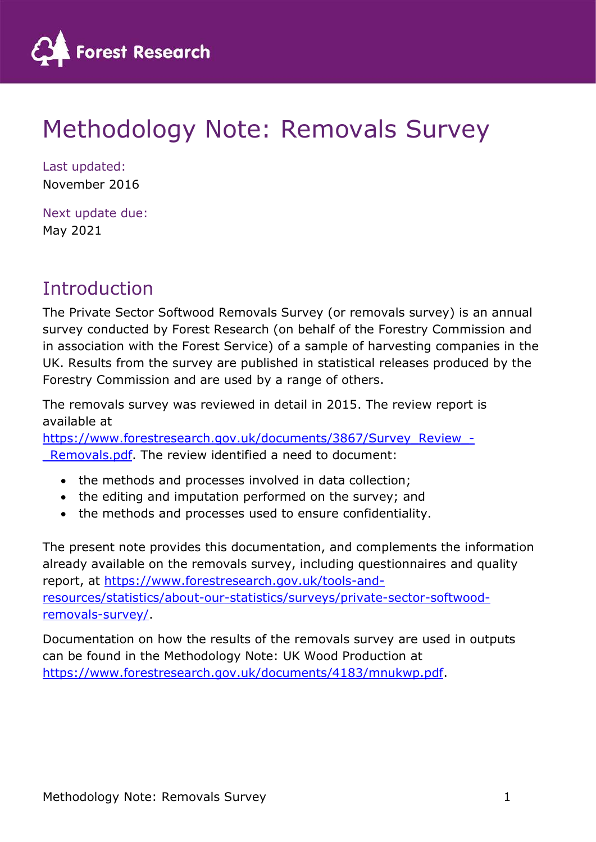

# Methodology Note: Removals Survey

Last updated: November 2016

Next update due: May 2021

# Introduction

The Private Sector Softwood Removals Survey (or removals survey) is an annual survey conducted by Forest Research (on behalf of the Forestry Commission and in association with the Forest Service) of a sample of harvesting companies in the UK. Results from the survey are published in statistical releases produced by the Forestry Commission and are used by a range of others.

The removals survey was reviewed in detail in 2015. The review report is available at

https://www.forestresearch.gov.uk/documents/3867/Survey\_Review\_-Removals.pdf. The review identified a need to document:

- the methods and processes involved in data collection;
- the editing and imputation performed on the survey; and
- the methods and processes used to ensure confidentiality.

The present note provides this documentation, and complements the information already available on the removals survey, including questionnaires and quality report, at https://www.forestresearch.gov.uk/tools-andresources/statistics/about-our-statistics/surveys/private-sector-softwoodremovals-survey/.

Documentation on how the results of the removals survey are used in outputs can be found in the Methodology Note: UK Wood Production at https://www.forestresearch.gov.uk/documents/4183/mnukwp.pdf.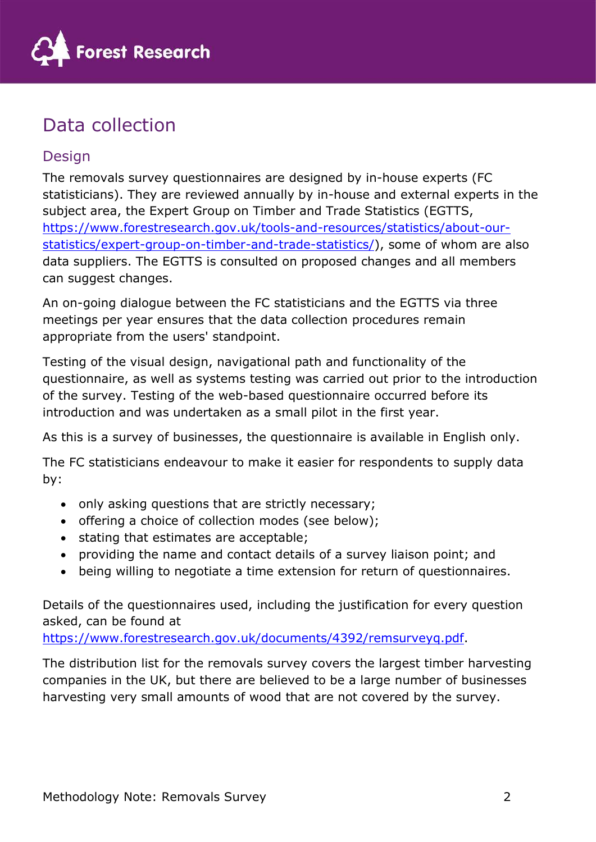

# Data collection

# Design

The removals survey questionnaires are designed by in-house experts (FC statisticians). They are reviewed annually by in-house and external experts in the subject area, the Expert Group on Timber and Trade Statistics (EGTTS, https://www.forestresearch.gov.uk/tools-and-resources/statistics/about-ourstatistics/expert-group-on-timber-and-trade-statistics/), some of whom are also data suppliers. The EGTTS is consulted on proposed changes and all members can suggest changes.

An on-going dialogue between the FC statisticians and the EGTTS via three meetings per year ensures that the data collection procedures remain appropriate from the users' standpoint.

Testing of the visual design, navigational path and functionality of the questionnaire, as well as systems testing was carried out prior to the introduction of the survey. Testing of the web-based questionnaire occurred before its introduction and was undertaken as a small pilot in the first year.

As this is a survey of businesses, the questionnaire is available in English only.

The FC statisticians endeavour to make it easier for respondents to supply data by:

- only asking questions that are strictly necessary;
- offering a choice of collection modes (see below);
- stating that estimates are acceptable;
- providing the name and contact details of a survey liaison point; and
- being willing to negotiate a time extension for return of questionnaires.

Details of the questionnaires used, including the justification for every question asked, can be found at

https://www.forestresearch.gov.uk/documents/4392/remsurveyq.pdf.

The distribution list for the removals survey covers the largest timber harvesting companies in the UK, but there are believed to be a large number of businesses harvesting very small amounts of wood that are not covered by the survey.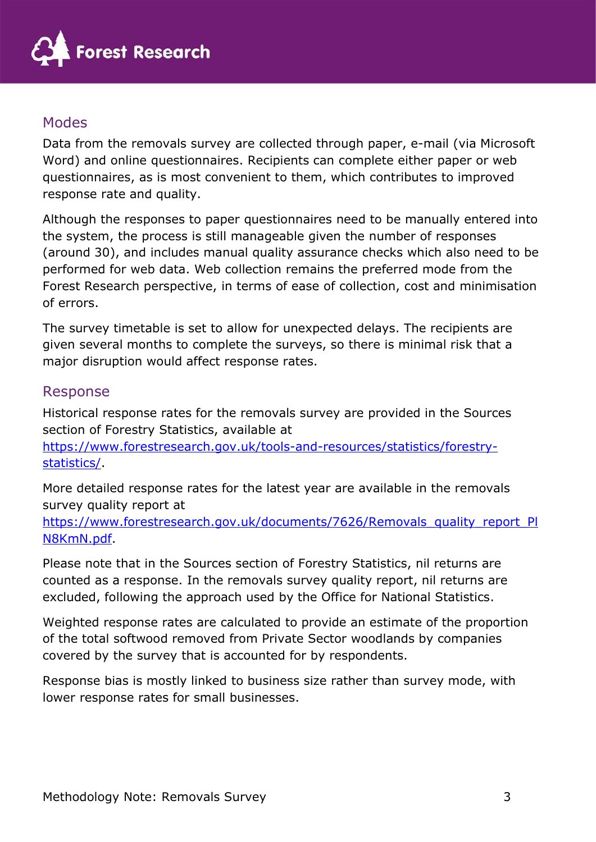

# Modes

Data from the removals survey are collected through paper, e-mail (via Microsoft Word) and online questionnaires. Recipients can complete either paper or web questionnaires, as is most convenient to them, which contributes to improved response rate and quality.

Although the responses to paper questionnaires need to be manually entered into the system, the process is still manageable given the number of responses (around 30), and includes manual quality assurance checks which also need to be performed for web data. Web collection remains the preferred mode from the Forest Research perspective, in terms of ease of collection, cost and minimisation of errors.

The survey timetable is set to allow for unexpected delays. The recipients are given several months to complete the surveys, so there is minimal risk that a major disruption would affect response rates.

### Response

Historical response rates for the removals survey are provided in the Sources section of Forestry Statistics, available at

https://www.forestresearch.gov.uk/tools-and-resources/statistics/forestrystatistics/.

More detailed response rates for the latest year are available in the removals survey quality report at

https://www.forestresearch.gov.uk/documents/7626/Removals\_quality\_report\_Pl N8KmN.pdf.

Please note that in the Sources section of Forestry Statistics, nil returns are counted as a response. In the removals survey quality report, nil returns are excluded, following the approach used by the Office for National Statistics.

Weighted response rates are calculated to provide an estimate of the proportion of the total softwood removed from Private Sector woodlands by companies covered by the survey that is accounted for by respondents.

Response bias is mostly linked to business size rather than survey mode, with lower response rates for small businesses.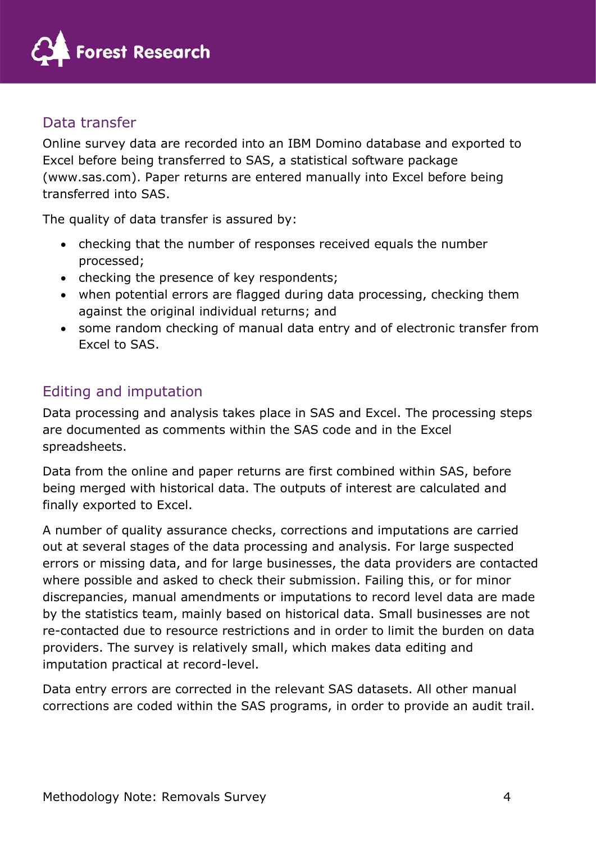

# Data transfer

Online survey data are recorded into an IBM Domino database and exported to Excel before being transferred to SAS, a statistical software package (www.sas.com). Paper returns are entered manually into Excel before being transferred into SAS.

The quality of data transfer is assured by:

- checking that the number of responses received equals the number processed;
- checking the presence of key respondents;
- when potential errors are flagged during data processing, checking them against the original individual returns; and
- some random checking of manual data entry and of electronic transfer from Excel to SAS.

# Editing and imputation

Data processing and analysis takes place in SAS and Excel. The processing steps are documented as comments within the SAS code and in the Excel spreadsheets.

Data from the online and paper returns are first combined within SAS, before being merged with historical data. The outputs of interest are calculated and finally exported to Excel.

A number of quality assurance checks, corrections and imputations are carried out at several stages of the data processing and analysis. For large suspected errors or missing data, and for large businesses, the data providers are contacted where possible and asked to check their submission. Failing this, or for minor discrepancies, manual amendments or imputations to record level data are made by the statistics team, mainly based on historical data. Small businesses are not re-contacted due to resource restrictions and in order to limit the burden on data providers. The survey is relatively small, which makes data editing and imputation practical at record-level.

Data entry errors are corrected in the relevant SAS datasets. All other manual corrections are coded within the SAS programs, in order to provide an audit trail.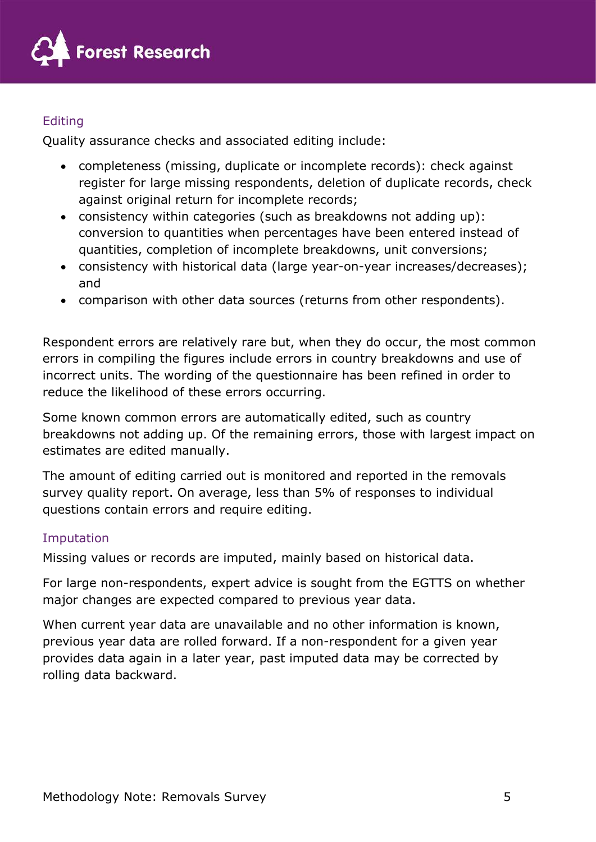

### **Editing**

Quality assurance checks and associated editing include:

- completeness (missing, duplicate or incomplete records): check against register for large missing respondents, deletion of duplicate records, check against original return for incomplete records;
- consistency within categories (such as breakdowns not adding up): conversion to quantities when percentages have been entered instead of quantities, completion of incomplete breakdowns, unit conversions;
- consistency with historical data (large year-on-year increases/decreases); and
- comparison with other data sources (returns from other respondents).

Respondent errors are relatively rare but, when they do occur, the most common errors in compiling the figures include errors in country breakdowns and use of incorrect units. The wording of the questionnaire has been refined in order to reduce the likelihood of these errors occurring.

Some known common errors are automatically edited, such as country breakdowns not adding up. Of the remaining errors, those with largest impact on estimates are edited manually.

The amount of editing carried out is monitored and reported in the removals survey quality report. On average, less than 5% of responses to individual questions contain errors and require editing.

### Imputation

Missing values or records are imputed, mainly based on historical data.

For large non-respondents, expert advice is sought from the EGTTS on whether major changes are expected compared to previous year data.

When current year data are unavailable and no other information is known, previous year data are rolled forward. If a non-respondent for a given year provides data again in a later year, past imputed data may be corrected by rolling data backward.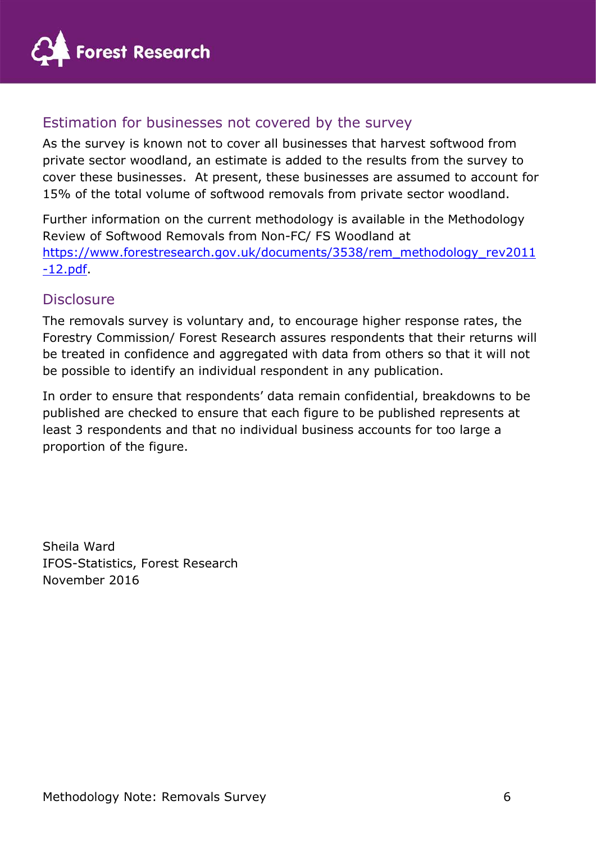

## Estimation for businesses not covered by the survey

As the survey is known not to cover all businesses that harvest softwood from private sector woodland, an estimate is added to the results from the survey to cover these businesses. At present, these businesses are assumed to account for 15% of the total volume of softwood removals from private sector woodland.

Further information on the current methodology is available in the Methodology Review of Softwood Removals from Non-FC/ FS Woodland at https://www.forestresearch.gov.uk/documents/3538/rem\_methodology\_rev2011  $-12.pdf.$ 

### **Disclosure**

The removals survey is voluntary and, to encourage higher response rates, the Forestry Commission/ Forest Research assures respondents that their returns will be treated in confidence and aggregated with data from others so that it will not be possible to identify an individual respondent in any publication.

In order to ensure that respondents' data remain confidential, breakdowns to be published are checked to ensure that each figure to be published represents at least 3 respondents and that no individual business accounts for too large a proportion of the figure.

Sheila Ward IFOS-Statistics, Forest Research November 2016